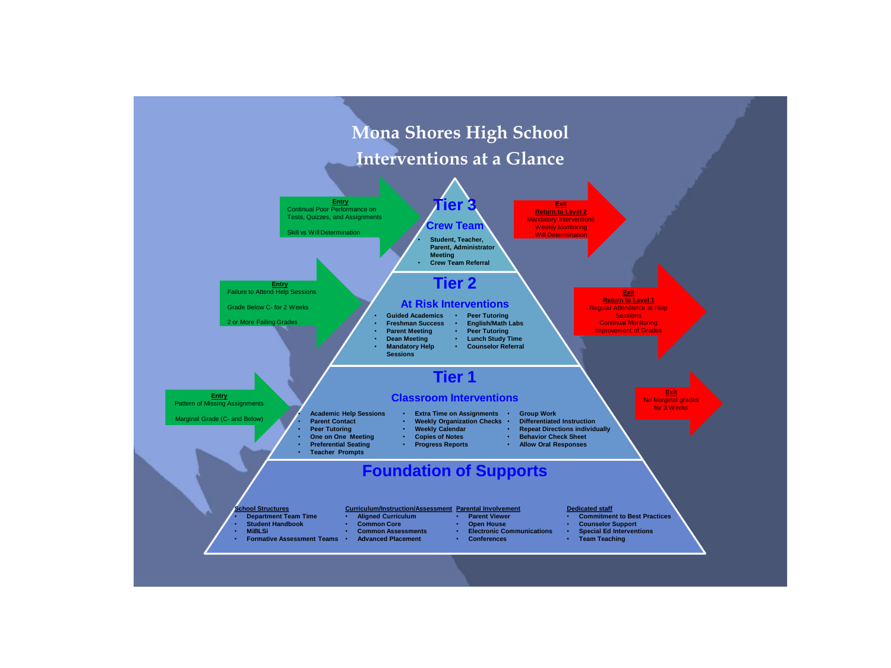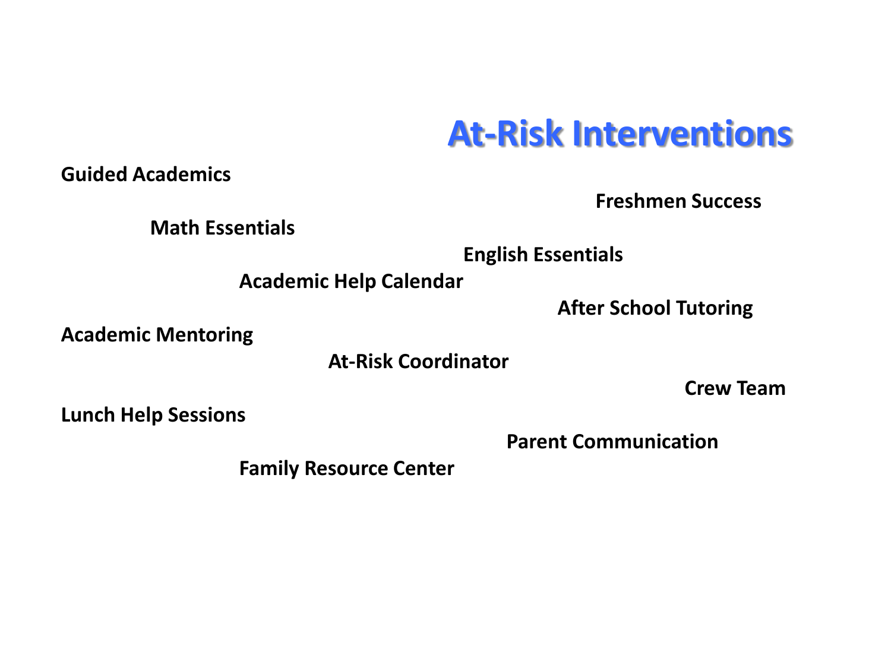## **At-Risk Interventions**

**Guided Academics**

**Freshmen Success**

**Math Essentials**

 **English Essentials**

**Academic Help Calendar**

 **After School Tutoring**

**Academic Mentoring**

**At-Risk Coordinator**

**Crew Team**

**Lunch Help Sessions**

**Parent Communication**

**Family Resource Center**